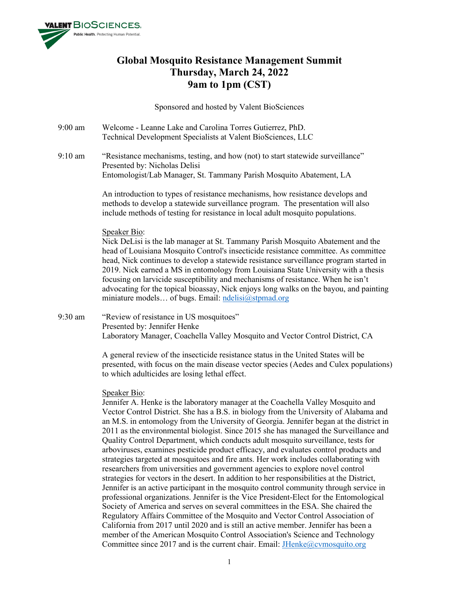

# **Global Mosquito Resistance Management Summit Thursday, March 24, 2022 9am to 1pm (CST)**

Sponsored and hosted by Valent BioSciences

- 9:00 am Welcome Leanne Lake and Carolina Torres Gutierrez, PhD. Technical Development Specialists at Valent BioSciences, LLC
- 9:10 am "Resistance mechanisms, testing, and how (not) to start statewide surveillance" Presented by: Nicholas Delisi Entomologist/Lab Manager, St. Tammany Parish Mosquito Abatement, LA

An introduction to types of resistance mechanisms, how resistance develops and methods to develop a statewide surveillance program. The presentation will also include methods of testing for resistance in local adult mosquito populations.

# Speaker Bio:

Nick DeLisi is the lab manager at St. Tammany Parish Mosquito Abatement and the head of Louisiana Mosquito Control's insecticide resistance committee. As committee head, Nick continues to develop a statewide resistance surveillance program started in 2019. Nick earned a MS in entomology from Louisiana State University with a thesis focusing on larvicide susceptibility and mechanisms of resistance. When he isn't advocating for the topical bioassay, Nick enjoys long walks on the bayou, and painting miniature models... of bugs. Email: [ndelisi@stpmad.org](mailto:ndelisi@stpmad.org)

9:30 am "Review of resistance in US mosquitoes" Presented by: Jennifer Henke Laboratory Manager, Coachella Valley Mosquito and Vector Control District, CA

> A general review of the insecticide resistance status in the United States will be presented, with focus on the main disease vector species (Aedes and Culex populations) to which adulticides are losing lethal effect.

## Speaker Bio:

Jennifer A. Henke is the laboratory manager at the Coachella Valley Mosquito and Vector Control District. She has a B.S. in biology from the University of Alabama and an M.S. in entomology from the University of Georgia. Jennifer began at the district in 2011 as the environmental biologist. Since 2015 she has managed the Surveillance and Quality Control Department, which conducts adult mosquito surveillance, tests for arboviruses, examines pesticide product efficacy, and evaluates control products and strategies targeted at mosquitoes and fire ants. Her work includes collaborating with researchers from universities and government agencies to explore novel control strategies for vectors in the desert. In addition to her responsibilities at the District, Jennifer is an active participant in the mosquito control community through service in professional organizations. Jennifer is the Vice President-Elect for the Entomological Society of America and serves on several committees in the ESA. She chaired the Regulatory Affairs Committee of the Mosquito and Vector Control Association of California from 2017 until 2020 and is still an active member. Jennifer has been a member of the American Mosquito Control Association's Science and Technology Committee since 2017 and is the current chair. Email: **JHenke@cvmosquito.org**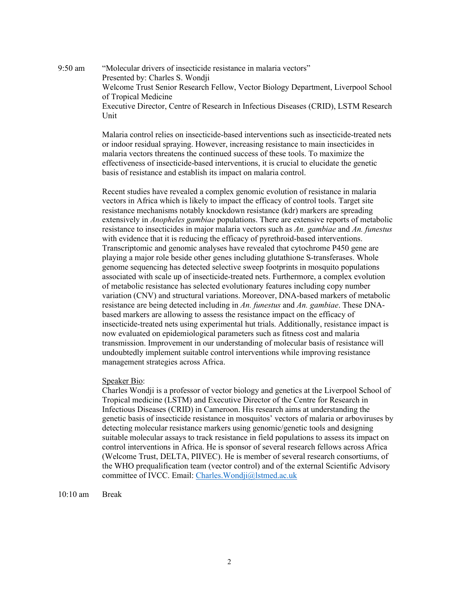9:50 am "Molecular drivers of insecticide resistance in malaria vectors" Presented by: Charles S. Wondji Welcome Trust Senior Research Fellow, Vector Biology Department, Liverpool School of Tropical Medicine Executive Director, Centre of Research in Infectious Diseases (CRID), LSTM Research Unit

> Malaria control relies on insecticide-based interventions such as insecticide-treated nets or indoor residual spraying. However, increasing resistance to main insecticides in malaria vectors threatens the continued success of these tools. To maximize the effectiveness of insecticide-based interventions, it is crucial to elucidate the genetic basis of resistance and establish its impact on malaria control.

> Recent studies have revealed a complex genomic evolution of resistance in malaria vectors in Africa which is likely to impact the efficacy of control tools. Target site resistance mechanisms notably knockdown resistance (kdr) markers are spreading extensively in *Anopheles gambiae* populations. There are extensive reports of metabolic resistance to insecticides in major malaria vectors such as *An. gambiae* and *An. funestus* with evidence that it is reducing the efficacy of pyrethroid-based interventions. Transcriptomic and genomic analyses have revealed that cytochrome P450 gene are playing a major role beside other genes including glutathione S-transferases. Whole genome sequencing has detected selective sweep footprints in mosquito populations associated with scale up of insecticide-treated nets. Furthermore, a complex evolution of metabolic resistance has selected evolutionary features including copy number variation (CNV) and structural variations. Moreover, DNA-based markers of metabolic resistance are being detected including in *An. funestus* and *An. gambiae*. These DNAbased markers are allowing to assess the resistance impact on the efficacy of insecticide-treated nets using experimental hut trials. Additionally, resistance impact is now evaluated on epidemiological parameters such as fitness cost and malaria transmission. Improvement in our understanding of molecular basis of resistance will undoubtedly implement suitable control interventions while improving resistance management strategies across Africa.

## Speaker Bio:

Charles Wondji is a professor of vector biology and genetics at the Liverpool School of Tropical medicine (LSTM) and Executive Director of the Centre for Research in Infectious Diseases (CRID) in Cameroon. His research aims at understanding the genetic basis of insecticide resistance in mosquitos' vectors of malaria or arboviruses by detecting molecular resistance markers using genomic/genetic tools and designing suitable molecular assays to track resistance in field populations to assess its impact on control interventions in Africa. He is sponsor of several research fellows across Africa (Welcome Trust, DELTA, PIIVEC). He is member of several research consortiums, of the WHO prequalification team (vector control) and of the external Scientific Advisory committee of IVCC. Email: [Charles.Wondji@lstmed.ac.uk](mailto:Charles.Wondji@lstmed.ac.uk) 

10:10 am Break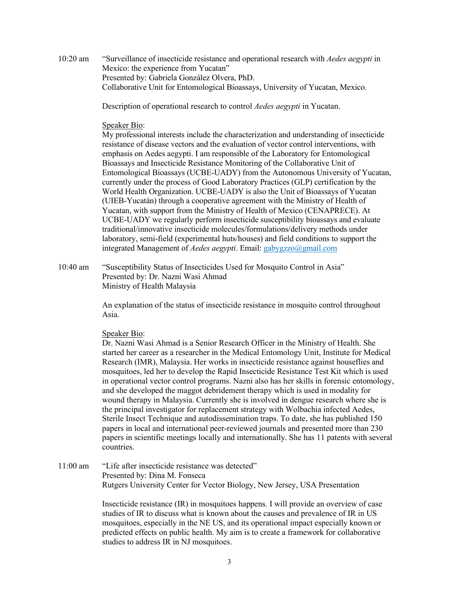10:20 am "Surveillance of insecticide resistance and operational research with *Aedes aegypti* in Mexico: the experience from Yucatan" Presented by: Gabriela González Olvera, PhD. Collaborative Unit for Entomological Bioassays, University of Yucatan, Mexico.

Description of operational research to control *Aedes aegypti* in Yucatan.

## Speaker Bio:

My professional interests include the characterization and understanding of insecticide resistance of disease vectors and the evaluation of vector control interventions, with emphasis on Aedes aegypti. I am responsible of the Laboratory for Entomological Bioassays and Insecticide Resistance Monitoring of the Collaborative Unit of Entomological Bioassays (UCBE-UADY) from the Autonomous University of Yucatan, currently under the process of Good Laboratory Practices (GLP) certification by the World Health Organization. UCBE-UADY is also the Unit of Bioassays of Yucatan (UIEB-Yucatán) through a cooperative agreement with the Ministry of Health of Yucatan, with support from the Ministry of Health of Mexico (CENAPRECE). At UCBE-UADY we regularly perform insecticide susceptibility bioassays and evaluate traditional/innovative insecticide molecules/formulations/delivery methods under laboratory, semi-field (experimental huts/houses) and field conditions to support the integrated Management of *Aedes aegypti*. Email: gabygzzo@gmail.com

10:40 am "Susceptibility Status of Insecticides Used for Mosquito Control in Asia" Presented by: Dr. Nazni Wasi Ahmad Ministry of Health Malaysia

> An explanation of the status of insecticide resistance in mosquito control throughout Asia.

## Speaker Bio:

Dr. Nazni Wasi Ahmad is a Senior Research Officer in the Ministry of Health. She started her career as a researcher in the Medical Entomology Unit, Institute for Medical Research (IMR), Malaysia. Her works in insecticide resistance against houseflies and mosquitoes, led her to develop the Rapid Insecticide Resistance Test Kit which is used in operational vector control programs. Nazni also has her skills in forensic entomology, and she developed the maggot debridement therapy which is used in modality for wound therapy in Malaysia. Currently she is involved in dengue research where she is the principal investigator for replacement strategy with Wolbachia infected Aedes, Sterile Insect Technique and autodissemination traps. To date, she has published 150 papers in local and international peer-reviewed journals and presented more than 230 papers in scientific meetings locally and internationally. She has 11 patents with several countries.

11:00 am "Life after insecticide resistance was detected" Presented by: Dina M. Fonseca Rutgers University Center for Vector Biology, New Jersey, USA Presentation

> Insecticide resistance (IR) in mosquitoes happens. I will provide an overview of case studies of IR to discuss what is known about the causes and prevalence of IR in US mosquitoes, especially in the NE US, and its operational impact especially known or predicted effects on public health. My aim is to create a framework for collaborative studies to address IR in NJ mosquitoes.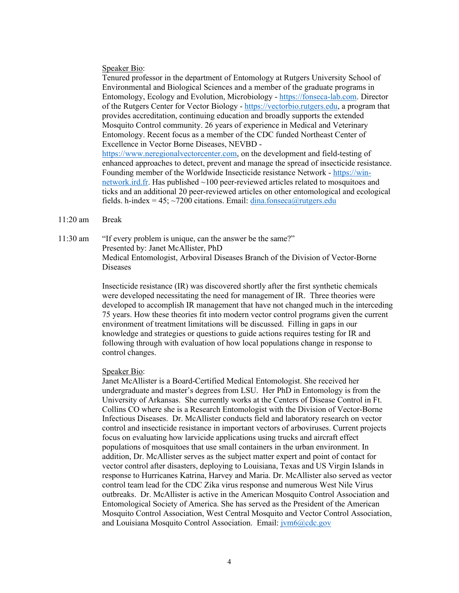#### Speaker Bio:

Tenured professor in the department of Entomology at Rutgers University School of Environmental and Biological Sciences and a member of the graduate programs in Entomology, Ecology and Evolution, Microbiology - [https://fonseca-lab.com.](https://urldefense.com/v3/__https:/fonseca-lab.com/__;!!BljAD5N0OmfQxSE!sb4wBMbhEDh3cdvvOr-RLoghvkN3uRU3mB4uwphJ3t2kAKnY-HbnU5g31KnhZqURT2zF8TSe$) Director of the Rutgers Center for Vector Biology - [https://vectorbio.rutgers.edu,](https://urldefense.com/v3/__https:/vectorbio.rutgers.edu/__;!!BljAD5N0OmfQxSE!sb4wBMbhEDh3cdvvOr-RLoghvkN3uRU3mB4uwphJ3t2kAKnY-HbnU5g31KnhZqURT6UfggJZ$) a program that provides accreditation, continuing education and broadly supports the extended Mosquito Control community. 26 years of experience in Medical and Veterinary Entomology. Recent focus as a member of the CDC funded Northeast Center of Excellence in Vector Borne Diseases, NEVBD [https://www.neregionalvectorcenter.com,](https://urldefense.com/v3/__https:/www.neregionalvectorcenter.com/__;!!BljAD5N0OmfQxSE!sb4wBMbhEDh3cdvvOr-RLoghvkN3uRU3mB4uwphJ3t2kAKnY-HbnU5g31KnhZqURT7HMcP37$) on the development and field-testing of enhanced approaches to detect, prevent and manage the spread of insecticide resistance. Founding member of the Worldwide Insecticide resistance Network - [https://win](https://urldefense.com/v3/__https:/win-network.ird.fr/__;!!BljAD5N0OmfQxSE!sb4wBMbhEDh3cdvvOr-RLoghvkN3uRU3mB4uwphJ3t2kAKnY-HbnU5g31KnhZqURT2pIgVcN$)[network.ird.fr.](https://urldefense.com/v3/__https:/win-network.ird.fr/__;!!BljAD5N0OmfQxSE!sb4wBMbhEDh3cdvvOr-RLoghvkN3uRU3mB4uwphJ3t2kAKnY-HbnU5g31KnhZqURT2pIgVcN$) Has published ~100 peer-reviewed articles related to mosquitoes and ticks and an additional 20 peer-reviewed articles on other entomological and ecological fields. h-index = 45;  $\sim$ 7200 citations. Email: [dina.fonseca@rutgers.edu](mailto:dina.fonseca@rutgers.edu)

#### 11:20 am Break

11:30 am "If every problem is unique, can the answer be the same?" Presented by: Janet McAllister, PhD Medical Entomologist, Arboviral Diseases Branch of the Division of Vector-Borne Diseases

> Insecticide resistance (IR) was discovered shortly after the first synthetic chemicals were developed necessitating the need for management of IR. Three theories were developed to accomplish IR management that have not changed much in the interceding 75 years. How these theories fit into modern vector control programs given the current environment of treatment limitations will be discussed. Filling in gaps in our knowledge and strategies or questions to guide actions requires testing for IR and following through with evaluation of how local populations change in response to control changes.

#### Speaker Bio:

Janet McAllister is a Board-Certified Medical Entomologist. She received her undergraduate and master's degrees from LSU. Her PhD in Entomology is from the University of Arkansas. She currently works at the Centers of Disease Control in Ft. Collins CO where she is a Research Entomologist with the Division of Vector-Borne Infectious Diseases. Dr. McAllister conducts field and laboratory research on vector control and insecticide resistance in important vectors of arboviruses. Current projects focus on evaluating how larvicide applications using trucks and aircraft effect populations of mosquitoes that use small containers in the urban environment. In addition, Dr. McAllister serves as the subject matter expert and point of contact for vector control after disasters, deploying to Louisiana, Texas and US Virgin Islands in response to Hurricanes Katrina, Harvey and Maria. Dr. McAllister also served as vector control team lead for the CDC Zika virus response and numerous West Nile Virus outbreaks. Dr. McAllister is active in the American Mosquito Control Association and Entomological Society of America. She has served as the President of the American Mosquito Control Association, West Central Mosquito and Vector Control Association, and Louisiana Mosquito Control Association. Email:  $\frac{\partial \phi}{\partial c}$  Eq. 200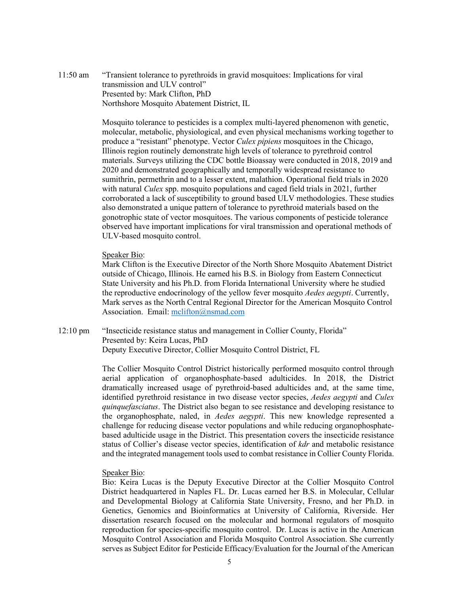11:50 am "Transient tolerance to pyrethroids in gravid mosquitoes: Implications for viral transmission and ULV control" Presented by: Mark Clifton, PhD Northshore Mosquito Abatement District, IL

> Mosquito tolerance to pesticides is a complex multi-layered phenomenon with genetic, molecular, metabolic, physiological, and even physical mechanisms working together to produce a "resistant" phenotype. Vector *Culex pipiens* mosquitoes in the Chicago, Illinois region routinely demonstrate high levels of tolerance to pyrethroid control materials. Surveys utilizing the CDC bottle Bioassay were conducted in 2018, 2019 and 2020 and demonstrated geographically and temporally widespread resistance to sumithrin, permethrin and to a lesser extent, malathion. Operational field trials in 2020 with natural *Culex* spp. mosquito populations and caged field trials in 2021, further corroborated a lack of susceptibility to ground based ULV methodologies. These studies also demonstrated a unique pattern of tolerance to pyrethroid materials based on the gonotrophic state of vector mosquitoes. The various components of pesticide tolerance observed have important implications for viral transmission and operational methods of ULV-based mosquito control.

#### Speaker Bio:

Mark Clifton is the Executive Director of the North Shore Mosquito Abatement District outside of Chicago, Illinois. He earned his B.S. in Biology from Eastern Connecticut State University and his Ph.D. from Florida International University where he studied the reproductive endocrinology of the yellow fever mosquito *Aedes aegypti*. Currently, Mark serves as the North Central Regional Director for the American Mosquito Control Association. Email: [mclifton@nsmad.com](mailto:mclifton@nsmad.com)

12:10 pm "Insecticide resistance status and management in Collier County, Florida" Presented by: Keira Lucas, PhD Deputy Executive Director, Collier Mosquito Control District, FL

> The Collier Mosquito Control District historically performed mosquito control through aerial application of organophosphate-based adulticides. In 2018, the District dramatically increased usage of pyrethroid-based adulticides and, at the same time, identified pyrethroid resistance in two disease vector species, *Aedes aegypti* and *Culex quinquefasciatus*. The District also began to see resistance and developing resistance to the organophosphate, naled, in *Aedes aegypti*. This new knowledge represented a challenge for reducing disease vector populations and while reducing organophosphatebased adulticide usage in the District. This presentation covers the insecticide resistance status of Collier's disease vector species, identification of *kdr* and metabolic resistance and the integrated management tools used to combat resistance in Collier County Florida.

### Speaker Bio:

Bio: Keira Lucas is the Deputy Executive Director at the Collier Mosquito Control District headquartered in Naples FL. Dr. Lucas earned her B.S. in Molecular, Cellular and Developmental Biology at California State University, Fresno, and her Ph.D. in Genetics, Genomics and Bioinformatics at University of California, Riverside. Her dissertation research focused on the molecular and hormonal regulators of mosquito reproduction for species-specific mosquito control. Dr. Lucas is active in the American Mosquito Control Association and Florida Mosquito Control Association. She currently serves as Subject Editor for Pesticide Efficacy/Evaluation for the Journal of the American